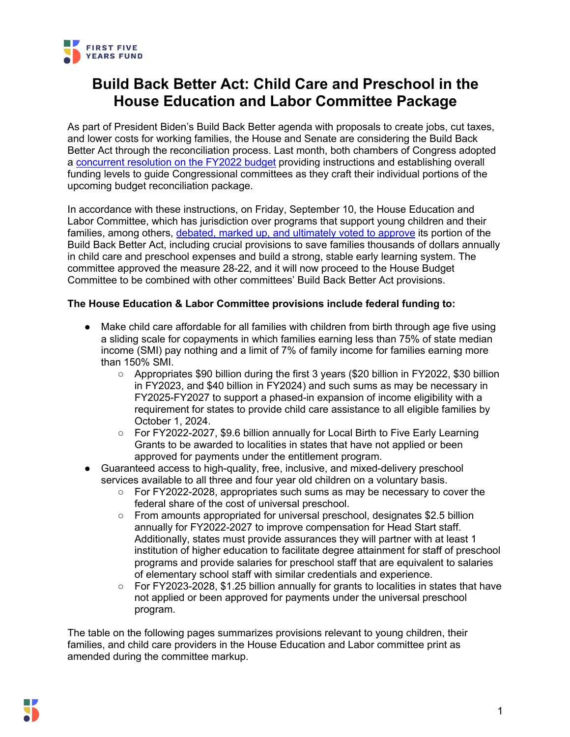

# **Build Back Better Act: Child Care and Preschool in the House Education and Labor Committee Package**

As part of President Biden's Build Back Better agenda with proposals to create jobs, cut taxes, and lower costs for working families, the House and Senate are considering the Build Back Better Act through the reconciliation process. Last month, both chambers of Congress adopted a concurrent resolution on the FY2022 budget providing instructions and establishing overall funding levels to guide Congressional committees as they craft their individual portions of the upcoming budget reconciliation package.

In accordance with these instructions, on Friday, September 10, the House Education and Labor Committee, which has jurisdiction over programs that support young children and their families, among others, debated, marked up, and ultimately voted to approve its portion of the Build Back Better Act, including crucial provisions to save families thousands of dollars annually in child care and preschool expenses and build a strong, stable early learning system. The committee approved the measure 28-22, and it will now proceed to the House Budget Committee to be combined with other committees' Build Back Better Act provisions.

#### **The House Education & Labor Committee provisions include federal funding to:**

- Make child care affordable for all families with children from birth through age five using a sliding scale for copayments in which families earning less than 75% of state median income (SMI) pay nothing and a limit of 7% of family income for families earning more than 150% SMI.
	- Appropriates \$90 billion during the first 3 years (\$20 billion in FY2022, \$30 billion in FY2023, and \$40 billion in FY2024) and such sums as may be necessary in FY2025-FY2027 to support a phased-in expansion of income eligibility with a requirement for states to provide child care assistance to all eligible families by October 1, 2024.
	- For FY2022-2027, \$9.6 billion annually for Local Birth to Five Early Learning Grants to be awarded to localities in states that have not applied or been approved for payments under the entitlement program.
- Guaranteed access to high-quality, free, inclusive, and mixed-delivery preschool services available to all three and four year old children on a voluntary basis.
	- For FY2022-2028, appropriates such sums as may be necessary to cover the federal share of the cost of universal preschool.
	- From amounts appropriated for universal preschool, designates \$2.5 billion annually for FY2022-2027 to improve compensation for Head Start staff. Additionally, states must provide assurances they will partner with at least 1 institution of higher education to facilitate degree attainment for staff of preschool programs and provide salaries for preschool staff that are equivalent to salaries of elementary school staff with similar credentials and experience.
	- $\circ$  For FY2023-2028, \$1.25 billion annually for grants to localities in states that have not applied or been approved for payments under the universal preschool program.

The table on the following pages summarizes provisions relevant to young children, their families, and child care providers in the House Education and Labor committee print as amended during the committee markup.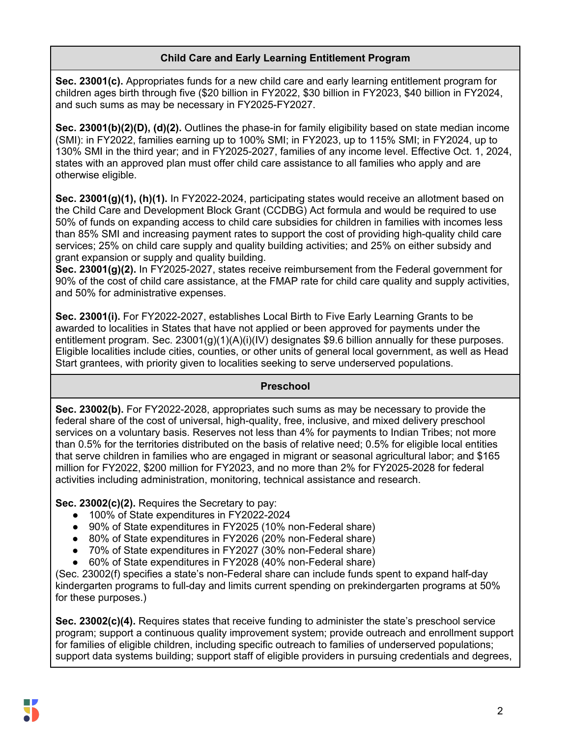## **Child Care and Early Learning Entitlement Program**

**Sec. 23001(c).** Appropriates funds for a new child care and early learning entitlement program for children ages birth through five (\$20 billion in FY2022, \$30 billion in FY2023, \$40 billion in FY2024, and such sums as may be necessary in FY2025-FY2027.

**Sec. 23001(b)(2)(D), (d)(2).** Outlines the phase-in for family eligibility based on state median income (SMI): in FY2022, families earning up to 100% SMI; in FY2023, up to 115% SMI; in FY2024, up to 130% SMI in the third year; and in FY2025-2027, families of any income level. Effective Oct. 1, 2024, states with an approved plan must offer child care assistance to all families who apply and are otherwise eligible.

**Sec. 23001(g)(1), (h)(1).** In FY2022-2024, participating states would receive an allotment based on the Child Care and Development Block Grant (CCDBG) Act formula and would be required to use 50% of funds on expanding access to child care subsidies for children in families with incomes less than 85% SMI and increasing payment rates to support the cost of providing high-quality child care services; 25% on child care supply and quality building activities; and 25% on either subsidy and grant expansion or supply and quality building.

**Sec. 23001(g)(2).** In FY2025-2027, states receive reimbursement from the Federal government for 90% of the cost of child care assistance, at the FMAP rate for child care quality and supply activities, and 50% for administrative expenses.

**Sec. 23001(i).** For FY2022-2027, establishes Local Birth to Five Early Learning Grants to be awarded to localities in States that have not applied or been approved for payments under the entitlement program. Sec. 23001(g)(1)(A)(i)(IV) designates \$9.6 billion annually for these purposes. Eligible localities include cities, counties, or other units of general local government, as well as Head Start grantees, with priority given to localities seeking to serve underserved populations.

#### **Preschool**

**Sec. 23002(b).** For FY2022-2028, appropriates such sums as may be necessary to provide the federal share of the cost of universal, high-quality, free, inclusive, and mixed delivery preschool services on a voluntary basis. Reserves not less than 4% for payments to Indian Tribes; not more than 0.5% for the territories distributed on the basis of relative need; 0.5% for eligible local entities that serve children in families who are engaged in migrant or seasonal agricultural labor; and \$165 million for FY2022, \$200 million for FY2023, and no more than 2% for FY2025-2028 for federal activities including administration, monitoring, technical assistance and research.

**Sec. 23002(c)(2).** Requires the Secretary to pay:

- 100% of State expenditures in FY2022-2024
- 90% of State expenditures in FY2025 (10% non-Federal share)
- 80% of State expenditures in FY2026 (20% non-Federal share)
- 70% of State expenditures in FY2027 (30% non-Federal share)
- 60% of State expenditures in FY2028 (40% non-Federal share)

(Sec. 23002(f) specifies a state's non-Federal share can include funds spent to expand half-day kindergarten programs to full-day and limits current spending on prekindergarten programs at 50% for these purposes.)

**Sec. 23002(c)(4).** Requires states that receive funding to administer the state's preschool service program; support a continuous quality improvement system; provide outreach and enrollment support for families of eligible children, including specific outreach to families of underserved populations; support data systems building; support staff of eligible providers in pursuing credentials and degrees,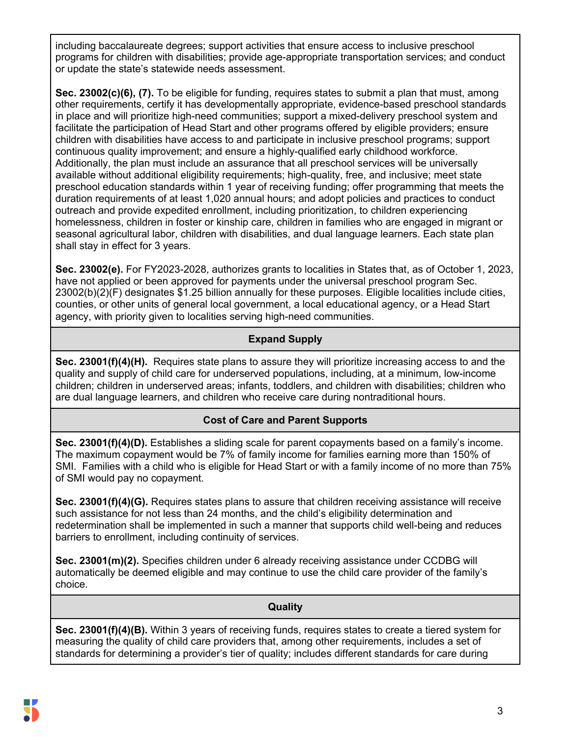including baccalaureate degrees; support activities that ensure access to inclusive preschool programs for children with disabilities; provide age-appropriate transportation services; and conduct or update the state's statewide needs assessment.

**Sec. 23002(c)(6), (7).** To be eligible for funding, requires states to submit a plan that must, among other requirements, certify it has developmentally appropriate, evidence-based preschool standards in place and will prioritize high-need communities; support a mixed-delivery preschool system and facilitate the participation of Head Start and other programs offered by eligible providers; ensure children with disabilities have access to and participate in inclusive preschool programs; support continuous quality improvement; and ensure a highly-qualified early childhood workforce. Additionally, the plan must include an assurance that all preschool services will be universally available without additional eligibility requirements; high-quality, free, and inclusive; meet state preschool education standards within 1 year of receiving funding; offer programming that meets the duration requirements of at least 1,020 annual hours; and adopt policies and practices to conduct outreach and provide expedited enrollment, including prioritization, to children experiencing homelessness, children in foster or kinship care, children in families who are engaged in migrant or seasonal agricultural labor, children with disabilities, and dual language learners. Each state plan shall stay in effect for 3 years.

**Sec. 23002(e).** For FY2023-2028, authorizes grants to localities in States that, as of October 1, 2023, have not applied or been approved for payments under the universal preschool program Sec. 23002(b)(2)(F) designates \$1.25 billion annually for these purposes. Eligible localities include cities, counties, or other units of general local government, a local educational agency, or a Head Start agency, with priority given to localities serving high-need communities.

## **Expand Supply**

**Sec. 23001(f)(4)(H).** Requires state plans to assure they will prioritize increasing access to and the quality and supply of child care for underserved populations, including, at a minimum, low-income children; children in underserved areas; infants, toddlers, and children with disabilities; children who are dual language learners, and children who receive care during nontraditional hours.

## **Cost of Care and Parent Supports**

**Sec. 23001(f)(4)(D).** Establishes a sliding scale for parent copayments based on a family's income. The maximum copayment would be 7% of family income for families earning more than 150% of SMI. Families with a child who is eligible for Head Start or with a family income of no more than 75% of SMI would pay no copayment.

**Sec. 23001(f)(4)(G).** Requires states plans to assure that children receiving assistance will receive such assistance for not less than 24 months, and the child's eligibility determination and redetermination shall be implemented in such a manner that supports child well-being and reduces barriers to enrollment, including continuity of services.

**Sec. 23001(m)(2).** Specifies children under 6 already receiving assistance under CCDBG will automatically be deemed eligible and may continue to use the child care provider of the family's choice.

#### **Quality**

**Sec. 23001(f)(4)(B).** Within 3 years of receiving funds, requires states to create a tiered system for measuring the quality of child care providers that, among other requirements, includes a set of standards for determining a provider's tier of quality; includes different standards for care during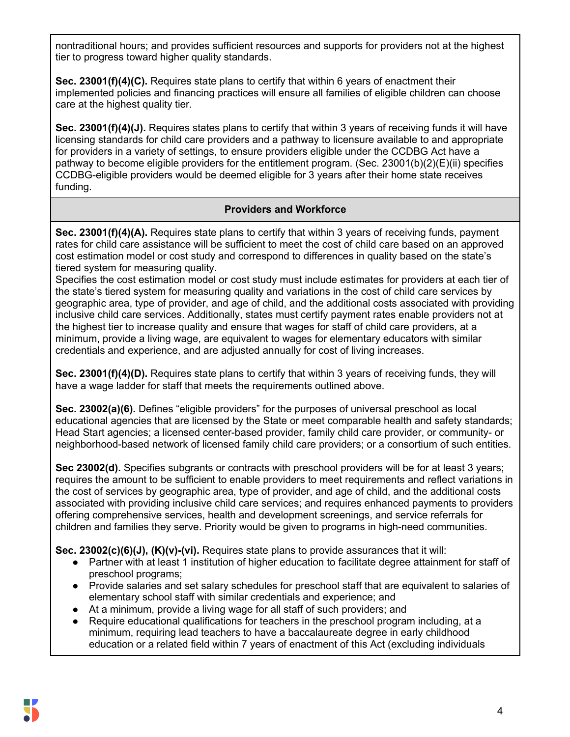nontraditional hours; and provides sufficient resources and supports for providers not at the highest tier to progress toward higher quality standards.

**Sec. 23001(f)(4)(C).** Requires state plans to certify that within 6 years of enactment their implemented policies and financing practices will ensure all families of eligible children can choose care at the highest quality tier.

**Sec. 23001(f)(4)(J).** Requires states plans to certify that within 3 years of receiving funds it will have licensing standards for child care providers and a pathway to licensure available to and appropriate for providers in a variety of settings, to ensure providers eligible under the CCDBG Act have a pathway to become eligible providers for the entitlement program. (Sec. 23001(b)(2)(E)(ii) specifies CCDBG-eligible providers would be deemed eligible for 3 years after their home state receives funding.

## **Providers and Workforce**

**Sec. 23001(f)(4)(A).** Requires state plans to certify that within 3 years of receiving funds, payment rates for child care assistance will be sufficient to meet the cost of child care based on an approved cost estimation model or cost study and correspond to differences in quality based on the state's tiered system for measuring quality.

Specifies the cost estimation model or cost study must include estimates for providers at each tier of the state's tiered system for measuring quality and variations in the cost of child care services by geographic area, type of provider, and age of child, and the additional costs associated with providing inclusive child care services. Additionally, states must certify payment rates enable providers not at the highest tier to increase quality and ensure that wages for staff of child care providers, at a minimum, provide a living wage, are equivalent to wages for elementary educators with similar credentials and experience, and are adjusted annually for cost of living increases.

**Sec. 23001(f)(4)(D).** Requires state plans to certify that within 3 years of receiving funds, they will have a wage ladder for staff that meets the requirements outlined above.

**Sec. 23002(a)(6).** Defines "eligible providers" for the purposes of universal preschool as local educational agencies that are licensed by the State or meet comparable health and safety standards; Head Start agencies; a licensed center-based provider, family child care provider, or community- or neighborhood-based network of licensed family child care providers; or a consortium of such entities.

**Sec 23002(d).** Specifies subgrants or contracts with preschool providers will be for at least 3 years; requires the amount to be sufficient to enable providers to meet requirements and reflect variations in the cost of services by geographic area, type of provider, and age of child, and the additional costs associated with providing inclusive child care services; and requires enhanced payments to providers offering comprehensive services, health and development screenings, and service referrals for children and families they serve. Priority would be given to programs in high-need communities.

**Sec. 23002(c)(6)(J), (K)(v)-(vi).** Requires state plans to provide assurances that it will:

- Partner with at least 1 institution of higher education to facilitate degree attainment for staff of preschool programs;
- Provide salaries and set salary schedules for preschool staff that are equivalent to salaries of elementary school staff with similar credentials and experience; and
- At a minimum, provide a living wage for all staff of such providers; and
- Require educational qualifications for teachers in the preschool program including, at a minimum, requiring lead teachers to have a baccalaureate degree in early childhood education or a related field within 7 years of enactment of this Act (excluding individuals